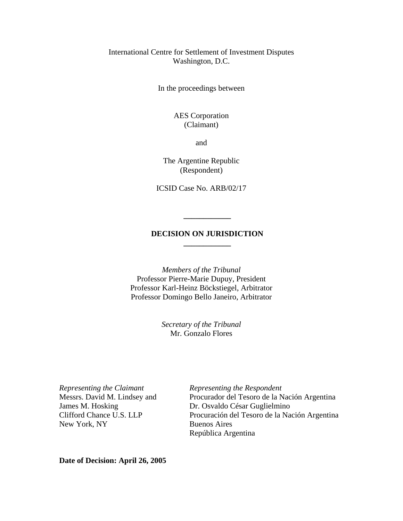## International Centre for Settlement of Investment Disputes Washington, D.C.

In the proceedings between

## AES Corporation (Claimant)

and

The Argentine Republic (Respondent)

ICSID Case No. ARB/02/17

#### **DECISION ON JURISDICTION \_\_\_\_\_\_\_\_\_\_\_\_**

**\_\_\_\_\_\_\_\_\_\_\_\_** 

*Members of the Tribunal*  Professor Pierre-Marie Dupuy, President Professor Karl-Heinz Böckstiegel, Arbitrator Professor Domingo Bello Janeiro, Arbitrator

> *Secretary of the Tribunal*  Mr. Gonzalo Flores

New York, NY Buenos Aires

*Representing the Claimant* **Representing the Respondent** Messrs. David M. Lindsey and Procurador del Tesoro de la Nación Argentina James M. Hosking Dr. Osvaldo César Guglielmino Clifford Chance U.S. LLP Procuración del Tesoro de la Nación Argentina República Argentina

**Date of Decision: April 26, 2005**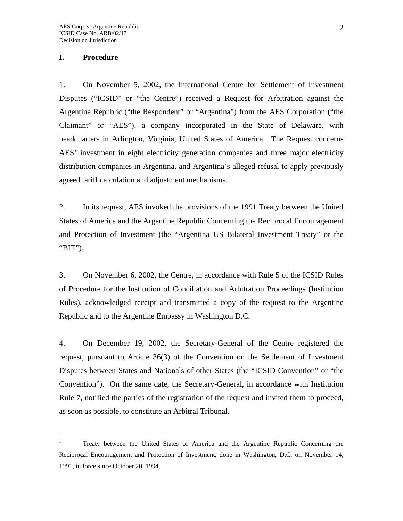#### **I. Procedure**

 $\overline{a}$ 

1. On November 5, 2002, the International Centre for Settlement of Investment Disputes ("ICSID" or "the Centre") received a Request for Arbitration against the Argentine Republic ("the Respondent" or "Argentina") from the AES Corporation ("the Claimant" or "AES"), a company incorporated in the State of Delaware, with headquarters in Arlington, Virginia, United States of America. The Request concerns AES' investment in eight electricity generation companies and three major electricity distribution companies in Argentina, and Argentina's alleged refusal to apply previously agreed tariff calculation and adjustment mechanisms.

2. In its request, AES invoked the provisions of the 1991 Treaty between the United States of America and the Argentine Republic Concerning the Reciprocal Encouragement and Protection of Investment (the "Argentina–US Bilateral Investment Treaty" or the " $BIT$ ").<sup>[1](#page-1-0)</sup>

3. On November 6, 2002, the Centre, in accordance with Rule 5 of the ICSID Rules of Procedure for the Institution of Conciliation and Arbitration Proceedings (Institution Rules), acknowledged receipt and transmitted a copy of the request to the Argentine Republic and to the Argentine Embassy in Washington D.C.

4. On December 19, 2002, the Secretary-General of the Centre registered the request, pursuant to Article 36(3) of the Convention on the Settlement of Investment Disputes between States and Nationals of other States (the "ICSID Convention" or "the Convention"). On the same date, the Secretary-General, in accordance with Institution Rule 7, notified the parties of the registration of the request and invited them to proceed, as soon as possible, to constitute an Arbitral Tribunal.

<span id="page-1-0"></span><sup>1</sup> Treaty between the United States of America and the Argentine Republic Concerning the Reciprocal Encouragement and Protection of Investment, done in Washington, D.C. on November 14, 1991, in force since October 20, 1994.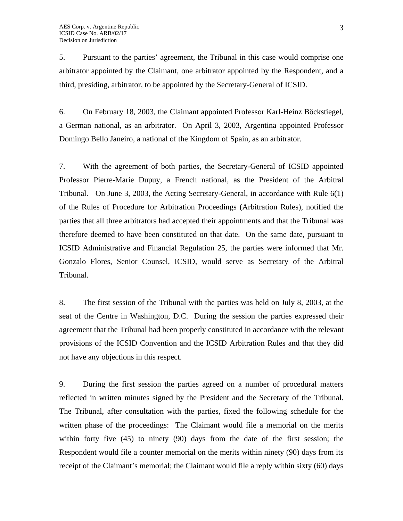5. Pursuant to the parties' agreement, the Tribunal in this case would comprise one arbitrator appointed by the Claimant, one arbitrator appointed by the Respondent, and a third, presiding, arbitrator, to be appointed by the Secretary-General of ICSID.

6. On February 18, 2003, the Claimant appointed Professor Karl-Heinz Böckstiegel, a German national, as an arbitrator. On April 3, 2003, Argentina appointed Professor Domingo Bello Janeiro, a national of the Kingdom of Spain, as an arbitrator.

7. With the agreement of both parties, the Secretary-General of ICSID appointed Professor Pierre-Marie Dupuy, a French national, as the President of the Arbitral Tribunal. On June 3, 2003, the Acting Secretary-General, in accordance with Rule 6(1) of the Rules of Procedure for Arbitration Proceedings (Arbitration Rules), notified the parties that all three arbitrators had accepted their appointments and that the Tribunal was therefore deemed to have been constituted on that date. On the same date, pursuant to ICSID Administrative and Financial Regulation 25, the parties were informed that Mr. Gonzalo Flores, Senior Counsel, ICSID, would serve as Secretary of the Arbitral Tribunal.

8. The first session of the Tribunal with the parties was held on July 8, 2003, at the seat of the Centre in Washington, D.C. During the session the parties expressed their agreement that the Tribunal had been properly constituted in accordance with the relevant provisions of the ICSID Convention and the ICSID Arbitration Rules and that they did not have any objections in this respect.

9. During the first session the parties agreed on a number of procedural matters reflected in written minutes signed by the President and the Secretary of the Tribunal. The Tribunal, after consultation with the parties, fixed the following schedule for the written phase of the proceedings: The Claimant would file a memorial on the merits within forty five (45) to ninety (90) days from the date of the first session; the Respondent would file a counter memorial on the merits within ninety (90) days from its receipt of the Claimant's memorial; the Claimant would file a reply within sixty (60) days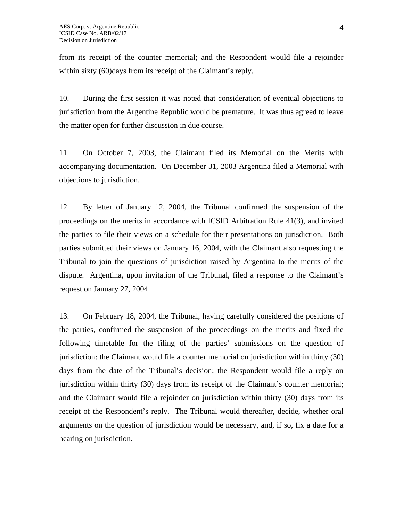from its receipt of the counter memorial; and the Respondent would file a rejoinder within sixty (60) days from its receipt of the Claimant's reply.

10. During the first session it was noted that consideration of eventual objections to jurisdiction from the Argentine Republic would be premature. It was thus agreed to leave the matter open for further discussion in due course.

11. On October 7, 2003, the Claimant filed its Memorial on the Merits with accompanying documentation. On December 31, 2003 Argentina filed a Memorial with objections to jurisdiction.

12. By letter of January 12, 2004, the Tribunal confirmed the suspension of the proceedings on the merits in accordance with ICSID Arbitration Rule 41(3), and invited the parties to file their views on a schedule for their presentations on jurisdiction. Both parties submitted their views on January 16, 2004, with the Claimant also requesting the Tribunal to join the questions of jurisdiction raised by Argentina to the merits of the dispute. Argentina, upon invitation of the Tribunal, filed a response to the Claimant's request on January 27, 2004.

13. On February 18, 2004, the Tribunal, having carefully considered the positions of the parties, confirmed the suspension of the proceedings on the merits and fixed the following timetable for the filing of the parties' submissions on the question of jurisdiction: the Claimant would file a counter memorial on jurisdiction within thirty (30) days from the date of the Tribunal's decision; the Respondent would file a reply on jurisdiction within thirty (30) days from its receipt of the Claimant's counter memorial; and the Claimant would file a rejoinder on jurisdiction within thirty (30) days from its receipt of the Respondent's reply. The Tribunal would thereafter, decide, whether oral arguments on the question of jurisdiction would be necessary, and, if so, fix a date for a hearing on jurisdiction.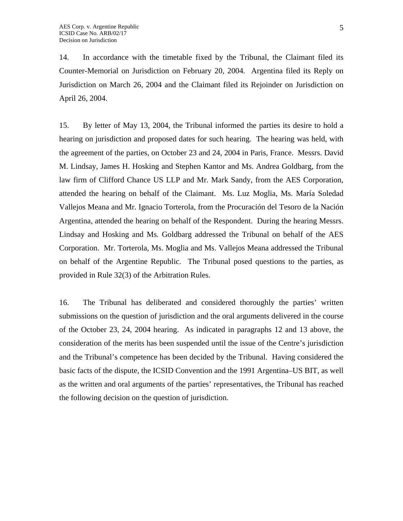14. In accordance with the timetable fixed by the Tribunal, the Claimant filed its Counter-Memorial on Jurisdiction on February 20, 2004. Argentina filed its Reply on Jurisdiction on March 26, 2004 and the Claimant filed its Rejoinder on Jurisdiction on April 26, 2004.

15. By letter of May 13, 2004, the Tribunal informed the parties its desire to hold a hearing on jurisdiction and proposed dates for such hearing. The hearing was held, with the agreement of the parties, on October 23 and 24, 2004 in Paris, France. Messrs. David M. Lindsay, James H. Hosking and Stephen Kantor and Ms. Andrea Goldbarg, from the law firm of Clifford Chance US LLP and Mr. Mark Sandy, from the AES Corporation, attended the hearing on behalf of the Claimant. Ms. Luz Moglia, Ms. María Soledad Vallejos Meana and Mr. Ignacio Torterola, from the Procuración del Tesoro de la Nación Argentina, attended the hearing on behalf of the Respondent. During the hearing Messrs. Lindsay and Hosking and Ms. Goldbarg addressed the Tribunal on behalf of the AES Corporation. Mr. Torterola, Ms. Moglia and Ms. Vallejos Meana addressed the Tribunal on behalf of the Argentine Republic. The Tribunal posed questions to the parties, as provided in Rule 32(3) of the Arbitration Rules.

16. The Tribunal has deliberated and considered thoroughly the parties' written submissions on the question of jurisdiction and the oral arguments delivered in the course of the October 23, 24, 2004 hearing. As indicated in paragraphs 12 and 13 above, the consideration of the merits has been suspended until the issue of the Centre's jurisdiction and the Tribunal's competence has been decided by the Tribunal. Having considered the basic facts of the dispute, the ICSID Convention and the 1991 Argentina–US BIT, as well as the written and oral arguments of the parties' representatives, the Tribunal has reached the following decision on the question of jurisdiction.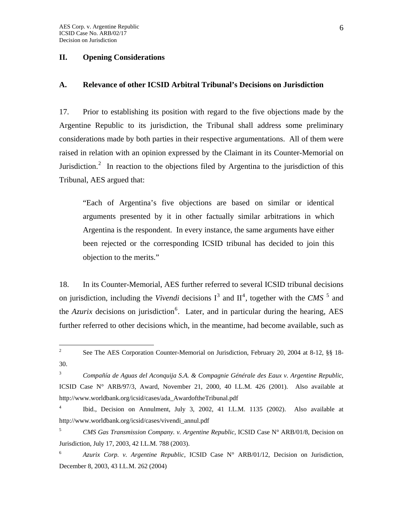#### **II. Opening Considerations**

## **A. Relevance of other ICSID Arbitral Tribunal's Decisions on Jurisdiction**

17. Prior to establishing its position with regard to the five objections made by the Argentine Republic to its jurisdiction, the Tribunal shall address some preliminary considerations made by both parties in their respective argumentations. All of them were raised in relation with an opinion expressed by the Claimant in its Counter-Memorial on Jurisdiction.<sup>[2](#page-5-0)</sup> In reaction to the objections filed by Argentina to the jurisdiction of this Tribunal, AES argued that:

"Each of Argentina's five objections are based on similar or identical arguments presented by it in other factually similar arbitrations in which Argentina is the respondent. In every instance, the same arguments have either been rejected or the corresponding ICSID tribunal has decided to join this objection to the merits."

18. In its Counter-Memorial, AES further referred to several ICSID tribunal decisions on jurisdiction, including the *Vivendi* decisions  $I^3$  $I^3$  and  $II^4$  $II^4$ , together with the *CMS*<sup>[5](#page-5-3)</sup> and the  $Azurix$  decisions on jurisdiction<sup>[6](#page-5-4)</sup>. Later, and in particular during the hearing, AES further referred to other decisions which, in the meantime, had become available, such as

<span id="page-5-0"></span> $\frac{1}{2}$  See The AES Corporation Counter-Memorial on Jurisdiction, February 20, 2004 at 8-12, §§ 18- 30.

<span id="page-5-1"></span><sup>3</sup>  *Compañía de Aguas del Aconquija S.A. & Compagnie Générale des Eaux v. Argentine Republic*, ICSID Case N° ARB/97/3, Award, November 21, 2000, 40 I.L.M. 426 (2001). Also available at http://www.worldbank.org/icsid/cases/ada\_AwardoftheTribunal.pdf

<span id="page-5-2"></span><sup>4</sup> Ibid., Decision on Annulment, July 3, 2002, 41 I.L.M. 1135 (2002). Also available at http://www.worldbank.org/icsid/cases/vivendi\_annul.pdf

<span id="page-5-3"></span><sup>5</sup> *CMS Gas Transmission Company. v. Argentine Republic,* ICSID Case N° ARB/01/8, Decision on Jurisdiction, July 17, 2003, 42 I.L.M. 788 (2003).

<span id="page-5-4"></span><sup>6</sup> *Azurix Corp. v. Argentine Republic*, ICSID Case N° ARB/01/12, Decision on Jurisdiction, December 8, 2003, 43 I.L.M. 262 (2004)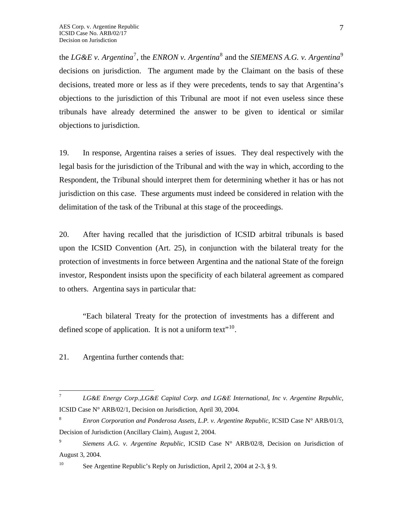the *LG&E v. Argentina*<sup>[7](#page-6-0)</sup>, the *ENRON v. Argentina*<sup>[8](#page-6-1)</sup> and the *SIEMENS A.G. v. Argentina*<sup>[9](#page-6-2)</sup> decisions on jurisdiction. The argument made by the Claimant on the basis of these decisions, treated more or less as if they were precedents, tends to say that Argentina's objections to the jurisdiction of this Tribunal are moot if not even useless since these tribunals have already determined the answer to be given to identical or similar objections to jurisdiction.

19. In response, Argentina raises a series of issues. They deal respectively with the legal basis for the jurisdiction of the Tribunal and with the way in which, according to the Respondent, the Tribunal should interpret them for determining whether it has or has not jurisdiction on this case. These arguments must indeed be considered in relation with the delimitation of the task of the Tribunal at this stage of the proceedings.

20. After having recalled that the jurisdiction of ICSID arbitral tribunals is based upon the ICSID Convention (Art. 25), in conjunction with the bilateral treaty for the protection of investments in force between Argentina and the national State of the foreign investor, Respondent insists upon the specificity of each bilateral agreement as compared to others. Argentina says in particular that:

"Each bilateral Treaty for the protection of investments has a different and defined scope of application. It is not a uniform text $"^{10}$  $"^{10}$  $"^{10}$ .

21. Argentina further contends that:

<span id="page-6-0"></span><sup>-&</sup>lt;br>7 *LG&E Energy Corp.,LG&E Capital Corp. and LG&E International, Inc v. Argentine Republic*, ICSID Case N° ARB/02/1, Decision on Jurisdiction, April 30, 2004.

<span id="page-6-1"></span><sup>8</sup> *Enron Corporation and Ponderosa Assets, L.P. v. Argentine Republic*, ICSID Case N° ARB/01/3, Decision of Jurisdiction (Ancillary Claim), August 2, 2004.

<span id="page-6-2"></span><sup>9</sup> *Siemens A.G. v. Argentine Republic*, ICSID Case N° ARB/02/8, Decision on Jurisdiction of August 3, 2004.

<span id="page-6-3"></span><sup>&</sup>lt;sup>10</sup> See Argentine Republic's Reply on Jurisdiction, April 2, 2004 at 2-3, § 9.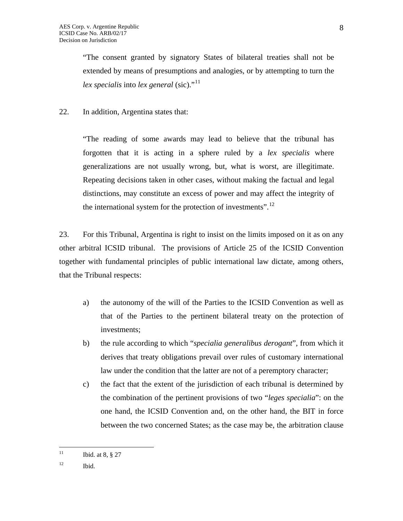"The consent granted by signatory States of bilateral treaties shall not be extended by means of presumptions and analogies, or by attempting to turn the *lex specialis* into *lex general* (sic)."<sup>[11](#page-7-0)</sup>

22. In addition, Argentina states that:

"The reading of some awards may lead to believe that the tribunal has forgotten that it is acting in a sphere ruled by a *lex specialis* where generalizations are not usually wrong, but, what is worst, are illegitimate. Repeating decisions taken in other cases, without making the factual and legal distinctions, may constitute an excess of power and may affect the integrity of the international system for the protection of investments".[12](#page-7-1)

23. For this Tribunal, Argentina is right to insist on the limits imposed on it as on any other arbitral ICSID tribunal. The provisions of Article 25 of the ICSID Convention together with fundamental principles of public international law dictate, among others, that the Tribunal respects:

- a) the autonomy of the will of the Parties to the ICSID Convention as well as that of the Parties to the pertinent bilateral treaty on the protection of investments;
- b) the rule according to which "*specialia generalibus derogant*", from which it derives that treaty obligations prevail over rules of customary international law under the condition that the latter are not of a peremptory character;
- c) the fact that the extent of the jurisdiction of each tribunal is determined by the combination of the pertinent provisions of two "*leges specialia*": on the one hand, the ICSID Convention and, on the other hand, the BIT in force between the two concerned States; as the case may be, the arbitration clause

<span id="page-7-0"></span> $11$ Ibid. at 8, § 27

<span id="page-7-1"></span> $12$  Ibid.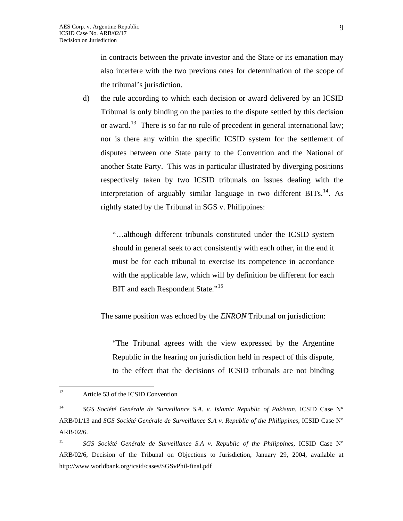in contracts between the private investor and the State or its emanation may also interfere with the two previous ones for determination of the scope of the tribunal's jurisdiction.

d) the rule according to which each decision or award delivered by an ICSID Tribunal is only binding on the parties to the dispute settled by this decision or award.<sup>[13](#page-8-0)</sup> There is so far no rule of precedent in general international law; nor is there any within the specific ICSID system for the settlement of disputes between one State party to the Convention and the National of another State Party. This was in particular illustrated by diverging positions respectively taken by two ICSID tribunals on issues dealing with the interpretation of arguably similar language in two different  $BITs$ <sup>[14](#page-8-1)</sup>. As rightly stated by the Tribunal in SGS v. Philippines:

> "…although different tribunals constituted under the ICSID system should in general seek to act consistently with each other, in the end it must be for each tribunal to exercise its competence in accordance with the applicable law, which will by definition be different for each BIT and each Respondent State."<sup>[15](#page-8-2)</sup>

The same position was echoed by the *ENRON* Tribunal on jurisdiction:

"The Tribunal agrees with the view expressed by the Argentine Republic in the hearing on jurisdiction held in respect of this dispute, to the effect that the decisions of ICSID tribunals are not binding

<span id="page-8-0"></span><sup>13</sup> Article 53 of the ICSID Convention

<span id="page-8-1"></span><sup>14</sup> *SGS Société Genérale de Surveillance S.A. v. Islamic Republic of Pakistan*, ICSID Case N° ARB/01/13 and *SGS Société Genérale de Surveillance S.A v. Republic of the Philippines*, ICSID Case N° ARB/02/6.

<span id="page-8-2"></span><sup>&</sup>lt;sup>15</sup> SGS Société Genérale de Surveillance S.A v. Republic of the Philippines, ICSID Case N° ARB/02/6, Decision of the Tribunal on Objections to Jurisdiction, January 29, 2004, available at http://www.worldbank.org/icsid/cases/SGSvPhil-final.pdf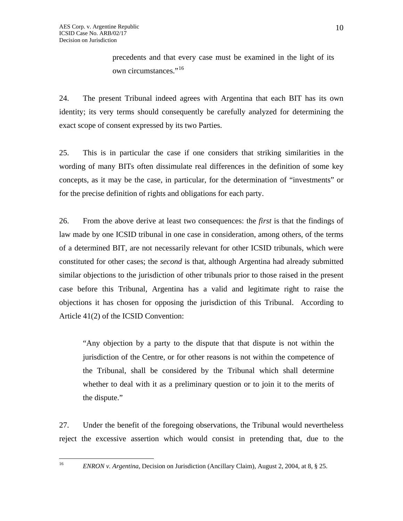precedents and that every case must be examined in the light of its own circumstances."<sup>[16](#page-9-0)</sup>

24. The present Tribunal indeed agrees with Argentina that each BIT has its own identity; its very terms should consequently be carefully analyzed for determining the exact scope of consent expressed by its two Parties.

25. This is in particular the case if one considers that striking similarities in the wording of many BITs often dissimulate real differences in the definition of some key concepts, as it may be the case, in particular, for the determination of "investments" or for the precise definition of rights and obligations for each party.

26. From the above derive at least two consequences: the *first* is that the findings of law made by one ICSID tribunal in one case in consideration, among others, of the terms of a determined BIT, are not necessarily relevant for other ICSID tribunals, which were constituted for other cases; the *second* is that, although Argentina had already submitted similar objections to the jurisdiction of other tribunals prior to those raised in the present case before this Tribunal, Argentina has a valid and legitimate right to raise the objections it has chosen for opposing the jurisdiction of this Tribunal. According to Article 41(2) of the ICSID Convention:

"Any objection by a party to the dispute that that dispute is not within the jurisdiction of the Centre, or for other reasons is not within the competence of the Tribunal, shall be considered by the Tribunal which shall determine whether to deal with it as a preliminary question or to join it to the merits of the dispute."

27. Under the benefit of the foregoing observations, the Tribunal would nevertheless reject the excessive assertion which would consist in pretending that, due to the

<span id="page-9-0"></span> $16\,$ 

<sup>16</sup> *ENRON v. Argentina*, Decision on Jurisdiction (Ancillary Claim), August 2, 2004, at 8, § 25.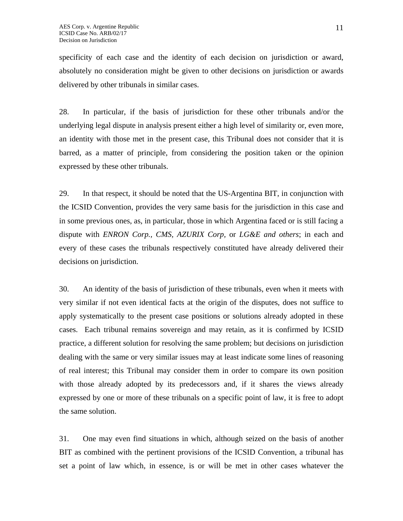specificity of each case and the identity of each decision on jurisdiction or award, absolutely no consideration might be given to other decisions on jurisdiction or awards delivered by other tribunals in similar cases.

28. In particular, if the basis of jurisdiction for these other tribunals and/or the underlying legal dispute in analysis present either a high level of similarity or, even more, an identity with those met in the present case, this Tribunal does not consider that it is barred, as a matter of principle, from considering the position taken or the opinion expressed by these other tribunals.

29. In that respect, it should be noted that the US-Argentina BIT, in conjunction with the ICSID Convention, provides the very same basis for the jurisdiction in this case and in some previous ones, as, in particular, those in which Argentina faced or is still facing a dispute with *ENRON Corp., CMS, AZURIX Corp,* or *LG&E and others*; in each and every of these cases the tribunals respectively constituted have already delivered their decisions on jurisdiction.

30. An identity of the basis of jurisdiction of these tribunals, even when it meets with very similar if not even identical facts at the origin of the disputes, does not suffice to apply systematically to the present case positions or solutions already adopted in these cases. Each tribunal remains sovereign and may retain, as it is confirmed by ICSID practice, a different solution for resolving the same problem; but decisions on jurisdiction dealing with the same or very similar issues may at least indicate some lines of reasoning of real interest; this Tribunal may consider them in order to compare its own position with those already adopted by its predecessors and, if it shares the views already expressed by one or more of these tribunals on a specific point of law, it is free to adopt the same solution.

31. One may even find situations in which, although seized on the basis of another BIT as combined with the pertinent provisions of the ICSID Convention, a tribunal has set a point of law which, in essence, is or will be met in other cases whatever the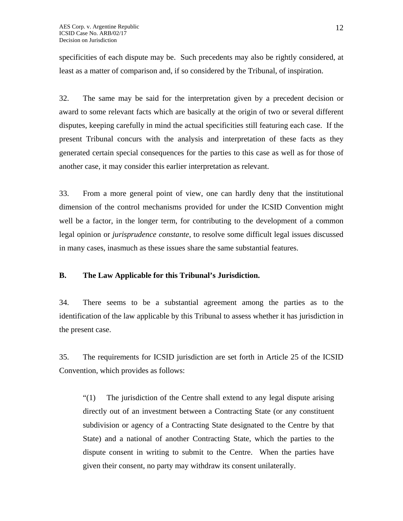specificities of each dispute may be. Such precedents may also be rightly considered, at least as a matter of comparison and, if so considered by the Tribunal, of inspiration.

32. The same may be said for the interpretation given by a precedent decision or award to some relevant facts which are basically at the origin of two or several different disputes, keeping carefully in mind the actual specificities still featuring each case. If the present Tribunal concurs with the analysis and interpretation of these facts as they generated certain special consequences for the parties to this case as well as for those of another case, it may consider this earlier interpretation as relevant.

33. From a more general point of view, one can hardly deny that the institutional dimension of the control mechanisms provided for under the ICSID Convention might well be a factor, in the longer term, for contributing to the development of a common legal opinion or *jurisprudence constante*, to resolve some difficult legal issues discussed in many cases, inasmuch as these issues share the same substantial features.

# **B. The Law Applicable for this Tribunal's Jurisdiction.**

34. There seems to be a substantial agreement among the parties as to the identification of the law applicable by this Tribunal to assess whether it has jurisdiction in the present case.

35. The requirements for ICSID jurisdiction are set forth in Article 25 of the ICSID Convention, which provides as follows:

"(1) The jurisdiction of the Centre shall extend to any legal dispute arising directly out of an investment between a Contracting State (or any constituent subdivision or agency of a Contracting State designated to the Centre by that State) and a national of another Contracting State, which the parties to the dispute consent in writing to submit to the Centre. When the parties have given their consent, no party may withdraw its consent unilaterally.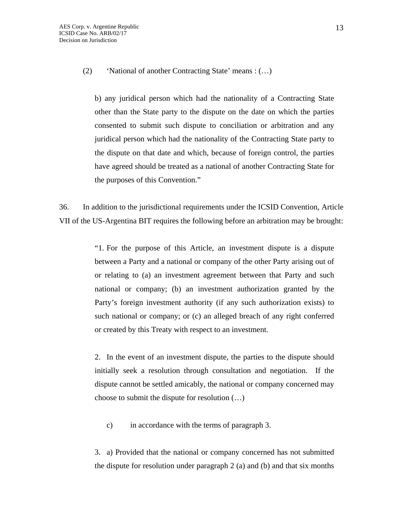(2) 'National of another Contracting State' means : (…)

b) any juridical person which had the nationality of a Contracting State other than the State party to the dispute on the date on which the parties consented to submit such dispute to conciliation or arbitration and any juridical person which had the nationality of the Contracting State party to the dispute on that date and which, because of foreign control, the parties have agreed should be treated as a national of another Contracting State for the purposes of this Convention."

36. In addition to the jurisdictional requirements under the ICSID Convention, Article VII of the US-Argentina BIT requires the following before an arbitration may be brought:

> "1. For the purpose of this Article, an investment dispute is a dispute between a Party and a national or company of the other Party arising out of or relating to (a) an investment agreement between that Party and such national or company; (b) an investment authorization granted by the Party's foreign investment authority (if any such authorization exists) to such national or company; or (c) an alleged breach of any right conferred or created by this Treaty with respect to an investment.

> 2. In the event of an investment dispute, the parties to the dispute should initially seek a resolution through consultation and negotiation. If the dispute cannot be settled amicably, the national or company concerned may choose to submit the dispute for resolution (…)

c) in accordance with the terms of paragraph 3.

3. a) Provided that the national or company concerned has not submitted the dispute for resolution under paragraph 2 (a) and (b) and that six months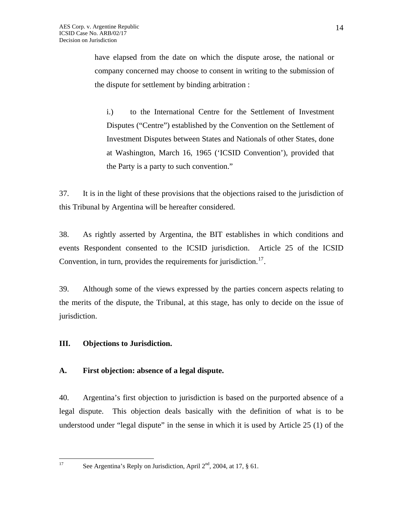have elapsed from the date on which the dispute arose, the national or company concerned may choose to consent in writing to the submission of the dispute for settlement by binding arbitration :

i.) to the International Centre for the Settlement of Investment Disputes ("Centre") established by the Convention on the Settlement of Investment Disputes between States and Nationals of other States, done at Washington, March 16, 1965 ('ICSID Convention'), provided that the Party is a party to such convention."

37. It is in the light of these provisions that the objections raised to the jurisdiction of this Tribunal by Argentina will be hereafter considered.

38. As rightly asserted by Argentina, the BIT establishes in which conditions and events Respondent consented to the ICSID jurisdiction. Article 25 of the ICSID Convention, in turn, provides the requirements for jurisdiction.<sup>17</sup>.

39. Although some of the views expressed by the parties concern aspects relating to the merits of the dispute, the Tribunal, at this stage, has only to decide on the issue of jurisdiction.

# **III. Objections to Jurisdiction.**

# **A. First objection: absence of a legal dispute.**

40. Argentina's first objection to jurisdiction is based on the purported absence of a legal dispute. This objection deals basically with the definition of what is to be understood under "legal dispute" in the sense in which it is used by Article 25 (1) of the

<span id="page-13-0"></span> $17$ 

See Argentina's Reply on Jurisdiction, April  $2<sup>nd</sup>$ , 2004, at 17, § 61.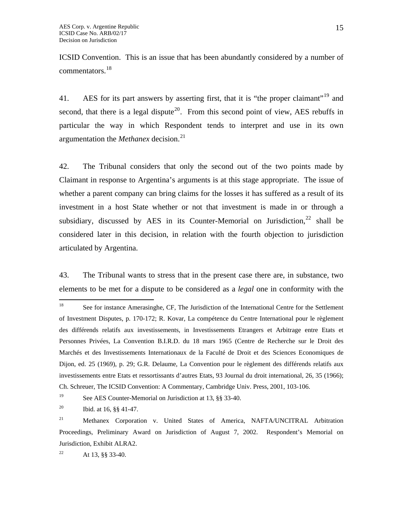ICSID Convention. This is an issue that has been abundantly considered by a number of commentators.[18](#page-14-0)

41. AES for its part answers by asserting first, that it is "the proper claimant"<sup>[19](#page-14-1)</sup> and second, that there is a legal dispute<sup>[20](#page-14-2)</sup>. From this second point of view, AES rebuffs in particular the way in which Respondent tends to interpret and use in its own argumentation the *Methanex* decision.<sup>[21](#page-14-3)</sup>

42. The Tribunal considers that only the second out of the two points made by Claimant in response to Argentina's arguments is at this stage appropriate. The issue of whether a parent company can bring claims for the losses it has suffered as a result of its investment in a host State whether or not that investment is made in or through a subsidiary, discussed by AES in its Counter-Memorial on Jurisdiction, $22$  shall be considered later in this decision, in relation with the fourth objection to jurisdiction articulated by Argentina.

43. The Tribunal wants to stress that in the present case there are, in substance, two elements to be met for a dispute to be considered as a *legal* one in conformity with the

<span id="page-14-4"></span><sup>22</sup> At 13, §§ 33-40.

<span id="page-14-0"></span> $18\,$ 18 See for instance Amerasinghe, CF, The Jurisdiction of the International Centre for the Settlement of Investment Disputes, p. 170-172; R. Kovar, La compétence du Centre International pour le règlement des différends relatifs aux investissements, in Investissements Etrangers et Arbitrage entre Etats et Personnes Privées, La Convention B.I.R.D. du 18 mars 1965 (Centre de Recherche sur le Droit des Marchés et des Investissements Internationaux de la Faculté de Droit et des Sciences Economiques de Dijon, ed. 25 (1969), p. 29; G.R. Delaume, La Convention pour le règlement des différends relatifs aux investissements entre Etats et ressortissants d'autres Etats, 93 Journal du droit international, 26, 35 (1966); Ch. Schreuer, The ICSID Convention: A Commentary, Cambridge Univ. Press, 2001, 103-106.

<span id="page-14-1"></span><sup>&</sup>lt;sup>19</sup> See AES Counter-Memorial on Jurisdiction at 13, §§ 33-40.

<span id="page-14-2"></span><sup>&</sup>lt;sup>20</sup> Ibid. at 16,  $\S$ § 41-47.

<span id="page-14-3"></span><sup>&</sup>lt;sup>21</sup> Methanex Corporation v. United States of America, NAFTA/UNCITRAL Arbitration Proceedings, Preliminary Award on Jurisdiction of August 7, 2002. Respondent's Memorial on Jurisdiction, Exhibit ALRA2.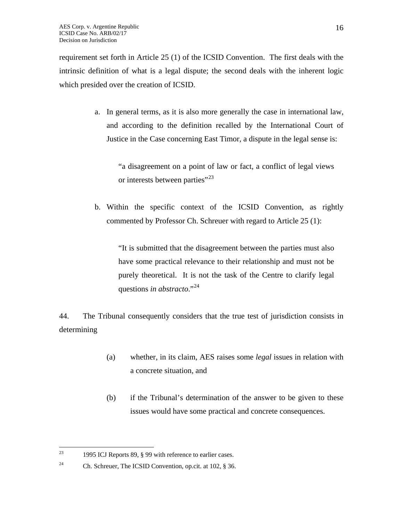requirement set forth in Article 25 (1) of the ICSID Convention. The first deals with the intrinsic definition of what is a legal dispute; the second deals with the inherent logic which presided over the creation of ICSID.

> a. In general terms, as it is also more generally the case in international law, and according to the definition recalled by the International Court of Justice in the Case concerning East Timor, a dispute in the legal sense is:

"a disagreement on a point of law or fact, a conflict of legal views or interests between parties"<sup>[23](#page-15-0)</sup>

b. Within the specific context of the ICSID Convention, as rightly commented by Professor Ch. Schreuer with regard to Article 25 (1):

"It is submitted that the disagreement between the parties must also have some practical relevance to their relationship and must not be purely theoretical. It is not the task of the Centre to clarify legal questions *in abstracto*."[24](#page-15-1)

44. The Tribunal consequently considers that the true test of jurisdiction consists in determining

- (a) whether, in its claim, AES raises some *legal* issues in relation with a concrete situation, and
- (b) if the Tribunal's determination of the answer to be given to these issues would have some practical and concrete consequences.

<span id="page-15-0"></span><sup>23</sup> 1995 ICJ Reports 89, § 99 with reference to earlier cases.

<span id="page-15-1"></span><sup>&</sup>lt;sup>24</sup> Ch. Schreuer, The ICSID Convention, op.cit. at 102,  $\S$  36.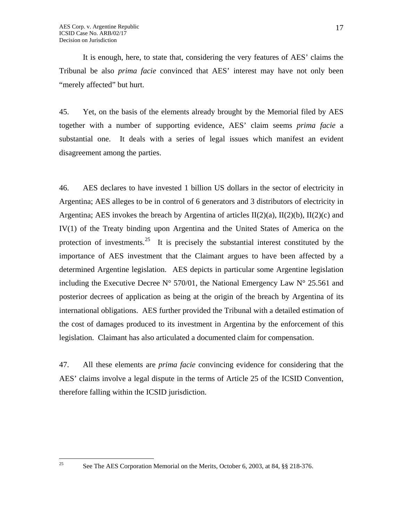<span id="page-16-0"></span> $25\overline{)}$ 

It is enough, here, to state that, considering the very features of AES' claims the Tribunal be also *prima facie* convinced that AES' interest may have not only been "merely affected" but hurt.

45. Yet, on the basis of the elements already brought by the Memorial filed by AES together with a number of supporting evidence, AES' claim seems *prima facie* a substantial one. It deals with a series of legal issues which manifest an evident disagreement among the parties.

46. AES declares to have invested 1 billion US dollars in the sector of electricity in Argentina; AES alleges to be in control of 6 generators and 3 distributors of electricity in Argentina; AES invokes the breach by Argentina of articles  $II(2)(a)$ ,  $II(2)(b)$ ,  $II(2)(c)$  and IV(1) of the Treaty binding upon Argentina and the United States of America on the protection of investments.<sup>[25](#page-16-0)</sup> It is precisely the substantial interest constituted by the importance of AES investment that the Claimant argues to have been affected by a determined Argentine legislation. AES depicts in particular some Argentine legislation including the Executive Decree  $N^{\circ}$  570/01, the National Emergency Law  $N^{\circ}$  25.561 and posterior decrees of application as being at the origin of the breach by Argentina of its international obligations. AES further provided the Tribunal with a detailed estimation of the cost of damages produced to its investment in Argentina by the enforcement of this legislation. Claimant has also articulated a documented claim for compensation.

47. All these elements are *prima facie* convincing evidence for considering that the AES' claims involve a legal dispute in the terms of Article 25 of the ICSID Convention, therefore falling within the ICSID jurisdiction.

<sup>25</sup> See The AES Corporation Memorial on the Merits, October 6, 2003, at 84, §§ 218-376.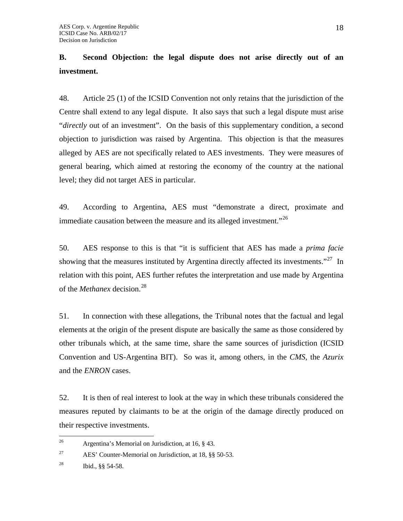# **B. Second Objection: the legal dispute does not arise directly out of an investment.**

48. Article 25 (1) of the ICSID Convention not only retains that the jurisdiction of the Centre shall extend to any legal dispute. It also says that such a legal dispute must arise "*directly* out of an investment". On the basis of this supplementary condition, a second objection to jurisdiction was raised by Argentina. This objection is that the measures alleged by AES are not specifically related to AES investments. They were measures of general bearing, which aimed at restoring the economy of the country at the national level; they did not target AES in particular.

49. According to Argentina, AES must "demonstrate a direct, proximate and immediate causation between the measure and its alleged investment."<sup>[26](#page-17-0)</sup>

50. AES response to this is that "it is sufficient that AES has made a *prima facie* showing that the measures instituted by Argentina directly affected its investments."<sup>[27](#page-17-1)</sup> In relation with this point, AES further refutes the interpretation and use made by Argentina of the *Methanex* decision.<sup>[28](#page-17-2)</sup>

51. In connection with these allegations, the Tribunal notes that the factual and legal elements at the origin of the present dispute are basically the same as those considered by other tribunals which, at the same time, share the same sources of jurisdiction (ICSID Convention and US-Argentina BIT). So was it, among others, in the *CMS,* the *Azurix* and the *ENRON* cases.

52. It is then of real interest to look at the way in which these tribunals considered the measures reputed by claimants to be at the origin of the damage directly produced on their respective investments.

<span id="page-17-0"></span> $26\overline{)}$ Argentina's Memorial on Jurisdiction, at 16, § 43.

<span id="page-17-1"></span><sup>&</sup>lt;sup>27</sup> AES' Counter-Memorial on Jurisdiction, at 18,  $\S$ § 50-53.

<span id="page-17-2"></span><sup>&</sup>lt;sup>28</sup> Ibid.,  $\S$ § 54-58.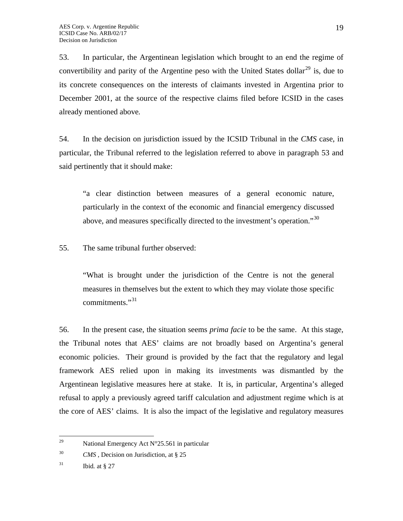53. In particular, the Argentinean legislation which brought to an end the regime of convertibility and parity of the Argentine peso with the United States dollar<sup>[29](#page-18-0)</sup> is, due to its concrete consequences on the interests of claimants invested in Argentina prior to December 2001, at the source of the respective claims filed before ICSID in the cases already mentioned above*.*

54. In the decision on jurisdiction issued by the ICSID Tribunal in the *CMS* case, in particular, the Tribunal referred to the legislation referred to above in paragraph 53 and said pertinently that it should make:

"a clear distinction between measures of a general economic nature, particularly in the context of the economic and financial emergency discussed above, and measures specifically directed to the investment's operation."<sup>[30](#page-18-1)</sup>

55. The same tribunal further observed:

"What is brought under the jurisdiction of the Centre is not the general measures in themselves but the extent to which they may violate those specific commitments<sup>"[31](#page-18-2)</sup>

56. In the present case, the situation seems *prima facie* to be the same. At this stage, the Tribunal notes that AES' claims are not broadly based on Argentina's general economic policies. Their ground is provided by the fact that the regulatory and legal framework AES relied upon in making its investments was dismantled by the Argentinean legislative measures here at stake. It is, in particular, Argentina's alleged refusal to apply a previously agreed tariff calculation and adjustment regime which is at the core of AES' claims. It is also the impact of the legislative and regulatory measures

<span id="page-18-0"></span><sup>29</sup> National Emergency Act  $N^{\circ}25.561$  in particular

<span id="page-18-1"></span><sup>30</sup> *CMS* , Decision on Jurisdiction, at § 25

<span id="page-18-2"></span> $^{31}$  Ibid. at  $\S 27$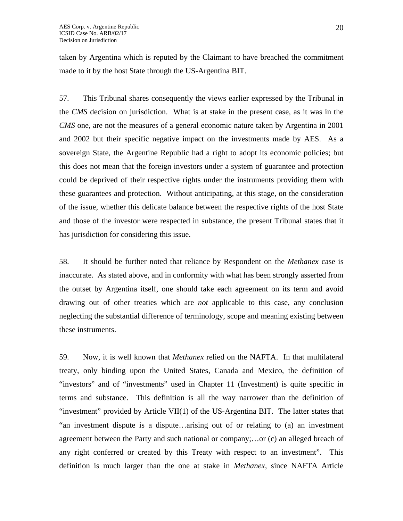taken by Argentina which is reputed by the Claimant to have breached the commitment made to it by the host State through the US-Argentina BIT.

57. This Tribunal shares consequently the views earlier expressed by the Tribunal in the *CMS* decision on jurisdiction. What is at stake in the present case, as it was in the *CMS* one, are not the measures of a general economic nature taken by Argentina in 2001 and 2002 but their specific negative impact on the investments made by AES. As a sovereign State, the Argentine Republic had a right to adopt its economic policies; but this does not mean that the foreign investors under a system of guarantee and protection could be deprived of their respective rights under the instruments providing them with these guarantees and protection. Without anticipating, at this stage, on the consideration of the issue, whether this delicate balance between the respective rights of the host State and those of the investor were respected in substance, the present Tribunal states that it has jurisdiction for considering this issue.

58. It should be further noted that reliance by Respondent on the *Methanex* case is inaccurate. As stated above, and in conformity with what has been strongly asserted from the outset by Argentina itself, one should take each agreement on its term and avoid drawing out of other treaties which are *not* applicable to this case, any conclusion neglecting the substantial difference of terminology, scope and meaning existing between these instruments.

59. Now, it is well known that *Methanex* relied on the NAFTA. In that multilateral treaty, only binding upon the United States, Canada and Mexico, the definition of "investors" and of "investments" used in Chapter 11 (Investment) is quite specific in terms and substance. This definition is all the way narrower than the definition of "investment" provided by Article VII(1) of the US-Argentina BIT. The latter states that "an investment dispute is a dispute…arising out of or relating to (a) an investment agreement between the Party and such national or company;…or (c) an alleged breach of any right conferred or created by this Treaty with respect to an investment". This definition is much larger than the one at stake in *Methanex*, since NAFTA Article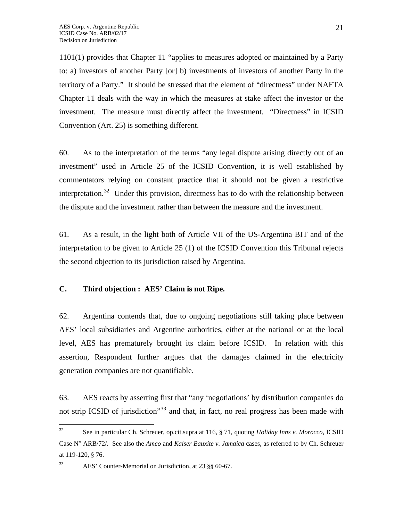1101(1) provides that Chapter 11 "applies to measures adopted or maintained by a Party to: a) investors of another Party [or] b) investments of investors of another Party in the territory of a Party." It should be stressed that the element of "directness" under NAFTA Chapter 11 deals with the way in which the measures at stake affect the investor or the investment. The measure must directly affect the investment. "Directness" in ICSID Convention (Art. 25) is something different.

60. As to the interpretation of the terms "any legal dispute arising directly out of an investment" used in Article 25 of the ICSID Convention, it is well established by commentators relying on constant practice that it should not be given a restrictive interpretation.<sup>[32](#page-20-0)</sup> Under this provision, directness has to do with the relationship between the dispute and the investment rather than between the measure and the investment.

61. As a result, in the light both of Article VII of the US-Argentina BIT and of the interpretation to be given to Article 25 (1) of the ICSID Convention this Tribunal rejects the second objection to its jurisdiction raised by Argentina.

## **C. Third objection : AES' Claim is not Ripe.**

62. Argentina contends that, due to ongoing negotiations still taking place between AES' local subsidiaries and Argentine authorities, either at the national or at the local level, AES has prematurely brought its claim before ICSID. In relation with this assertion, Respondent further argues that the damages claimed in the electricity generation companies are not quantifiable.

63. AES reacts by asserting first that "any 'negotiations' by distribution companies do not strip ICSID of jurisdiction<sup>[33](#page-20-1)</sup> and that, in fact, no real progress has been made with

<span id="page-20-0"></span> $32$ 32 See in particular Ch. Schreuer, op.cit.supra at 116, § 71, quoting *Holiday Inns v. Morocco*, ICSID Case N° ARB/72/. See also the *Amco* and *Kaiser Bauxite v. Jamaica* cases, as referred to by Ch. Schreuer at 119-120, § 76.

<span id="page-20-1"></span><sup>33</sup> AES' Counter-Memorial on Jurisdiction, at 23 §§ 60-67.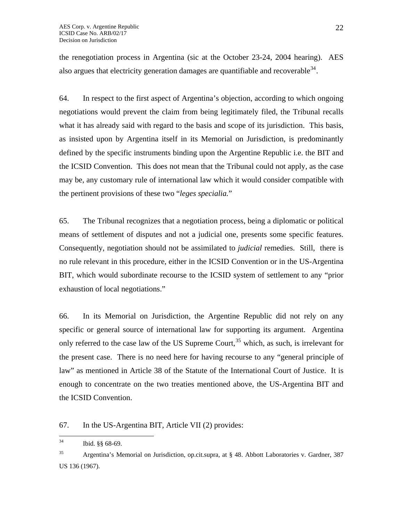the renegotiation process in Argentina (sic at the October 23-24, 2004 hearing). AES also argues that electricity generation damages are quantifiable and recoverable<sup>[34](#page-21-0)</sup>.

64. In respect to the first aspect of Argentina's objection, according to which ongoing negotiations would prevent the claim from being legitimately filed, the Tribunal recalls what it has already said with regard to the basis and scope of its jurisdiction. This basis, as insisted upon by Argentina itself in its Memorial on Jurisdiction, is predominantly defined by the specific instruments binding upon the Argentine Republic i.e. the BIT and the ICSID Convention. This does not mean that the Tribunal could not apply, as the case may be, any customary rule of international law which it would consider compatible with the pertinent provisions of these two "*leges specialia.*"

65. The Tribunal recognizes that a negotiation process, being a diplomatic or political means of settlement of disputes and not a judicial one, presents some specific features. Consequently, negotiation should not be assimilated to *judicial* remedies. Still, there is no rule relevant in this procedure, either in the ICSID Convention or in the US-Argentina BIT, which would subordinate recourse to the ICSID system of settlement to any "prior exhaustion of local negotiations."

66. In its Memorial on Jurisdiction, the Argentine Republic did not rely on any specific or general source of international law for supporting its argument. Argentina only referred to the case law of the US Supreme Court,  $35$  which, as such, is irrelevant for the present case. There is no need here for having recourse to any "general principle of law" as mentioned in Article 38 of the Statute of the International Court of Justice. It is enough to concentrate on the two treaties mentioned above, the US-Argentina BIT and the ICSID Convention.

## 67. In the US-Argentina BIT, Article VII (2) provides:

<span id="page-21-0"></span> $34$ Ibid. §§ 68-69.

<span id="page-21-1"></span> $35$  Argentina's Memorial on Jurisdiction, op.cit.supra, at § 48. Abbott Laboratories v. Gardner, 387 US 136 (1967).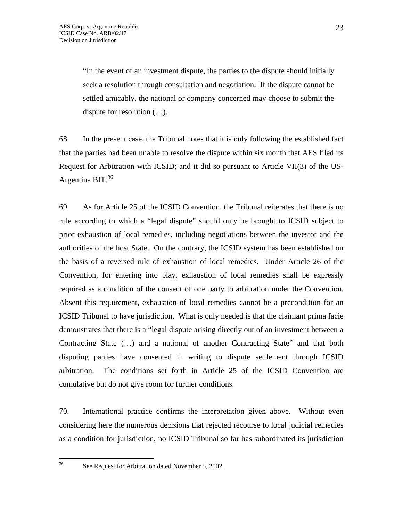"In the event of an investment dispute, the parties to the dispute should initially seek a resolution through consultation and negotiation. If the dispute cannot be settled amicably, the national or company concerned may choose to submit the dispute for resolution (…).

68. In the present case, the Tribunal notes that it is only following the established fact that the parties had been unable to resolve the dispute within six month that AES filed its Request for Arbitration with ICSID; and it did so pursuant to Article VII(3) of the US-Argentina BIT. $36$ 

69. As for Article 25 of the ICSID Convention, the Tribunal reiterates that there is no rule according to which a "legal dispute" should only be brought to ICSID subject to prior exhaustion of local remedies, including negotiations between the investor and the authorities of the host State. On the contrary, the ICSID system has been established on the basis of a reversed rule of exhaustion of local remedies. Under Article 26 of the Convention, for entering into play, exhaustion of local remedies shall be expressly required as a condition of the consent of one party to arbitration under the Convention. Absent this requirement, exhaustion of local remedies cannot be a precondition for an ICSID Tribunal to have jurisdiction. What is only needed is that the claimant prima facie demonstrates that there is a "legal dispute arising directly out of an investment between a Contracting State (…) and a national of another Contracting State" and that both disputing parties have consented in writing to dispute settlement through ICSID arbitration. The conditions set forth in Article 25 of the ICSID Convention are cumulative but do not give room for further conditions.

70. International practice confirms the interpretation given above. Without even considering here the numerous decisions that rejected recourse to local judicial remedies as a condition for jurisdiction, no ICSID Tribunal so far has subordinated its jurisdiction

<span id="page-22-0"></span>36

See Request for Arbitration dated November 5, 2002.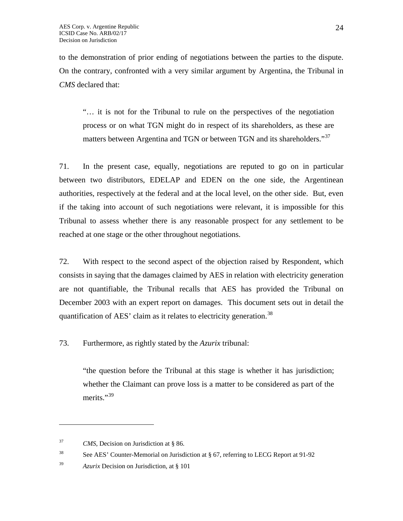to the demonstration of prior ending of negotiations between the parties to the dispute. On the contrary, confronted with a very similar argument by Argentina, the Tribunal in *CMS* declared that:

"… it is not for the Tribunal to rule on the perspectives of the negotiation process or on what TGN might do in respect of its shareholders, as these are matters between Argentina and TGN or between TGN and its shareholders."[37](#page-23-0)

71. In the present case, equally, negotiations are reputed to go on in particular between two distributors, EDELAP and EDEN on the one side, the Argentinean authorities, respectively at the federal and at the local level, on the other side. But, even if the taking into account of such negotiations were relevant, it is impossible for this Tribunal to assess whether there is any reasonable prospect for any settlement to be reached at one stage or the other throughout negotiations.

72. With respect to the second aspect of the objection raised by Respondent, which consists in saying that the damages claimed by AES in relation with electricity generation are not quantifiable, the Tribunal recalls that AES has provided the Tribunal on December 2003 with an expert report on damages. This document sets out in detail the quantification of AES' claim as it relates to electricity generation.<sup>[38](#page-23-1)</sup>

73. Furthermore, as rightly stated by the *Azurix* tribunal:

"the question before the Tribunal at this stage is whether it has jurisdiction; whether the Claimant can prove loss is a matter to be considered as part of the merits."<sup>[39](#page-23-2)</sup>

 $\overline{a}$ 

<span id="page-23-0"></span><sup>37</sup> *CMS*, Decision on Jurisdiction at § 86.

<span id="page-23-1"></span><sup>&</sup>lt;sup>38</sup> See AES' Counter-Memorial on Jurisdiction at  $\S$  67, referring to LECG Report at 91-92

<span id="page-23-2"></span><sup>39</sup> *Azurix* Decision on Jurisdiction, at § 101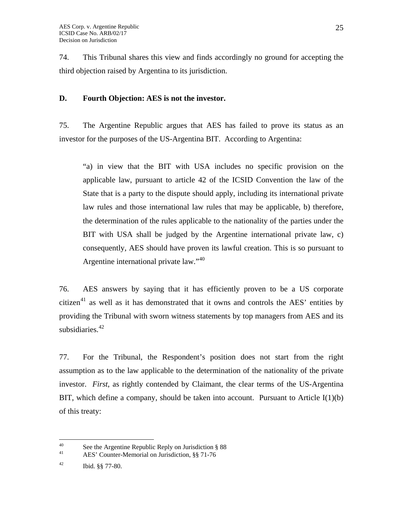74. This Tribunal shares this view and finds accordingly no ground for accepting the third objection raised by Argentina to its jurisdiction.

## **D. Fourth Objection: AES is not the investor.**

75. The Argentine Republic argues that AES has failed to prove its status as an investor for the purposes of the US-Argentina BIT. According to Argentina:

"a) in view that the BIT with USA includes no specific provision on the applicable law, pursuant to article 42 of the ICSID Convention the law of the State that is a party to the dispute should apply, including its international private law rules and those international law rules that may be applicable, b) therefore, the determination of the rules applicable to the nationality of the parties under the BIT with USA shall be judged by the Argentine international private law, c) consequently, AES should have proven its lawful creation. This is so pursuant to Argentine international private law."<sup>[40](#page-24-0)</sup>

76. AES answers by saying that it has efficiently proven to be a US corporate citizen<sup>[41](#page-24-1)</sup> as well as it has demonstrated that it owns and controls the AES' entities by providing the Tribunal with sworn witness statements by top managers from AES and its subsidiaries. $42$ 

77. For the Tribunal, the Respondent's position does not start from the right assumption as to the law applicable to the determination of the nationality of the private investor. *First*, as rightly contended by Claimant, the clear terms of the US-Argentina BIT, which define a company, should be taken into account. Pursuant to Article I(1)(b) of this treaty:

<span id="page-24-0"></span> $40^{\circ}$ <sup>40</sup> See the Argentine Republic Reply on Jurisdiction  $\S 88$ <sup>41</sup>

AES' Counter-Memorial on Jurisdiction, §§ 71-76

<span id="page-24-2"></span><span id="page-24-1"></span> $42$  Ibid.  $\S$ § 77-80.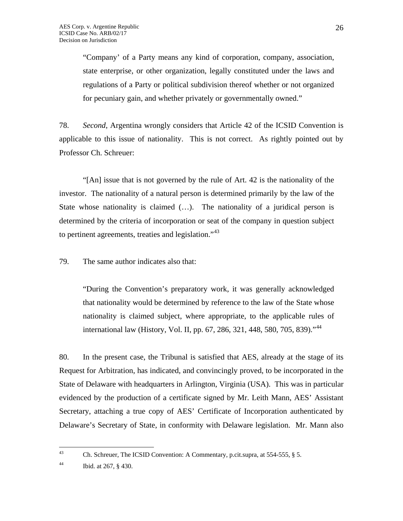"Company' of a Party means any kind of corporation, company, association, state enterprise, or other organization, legally constituted under the laws and regulations of a Party or political subdivision thereof whether or not organized for pecuniary gain, and whether privately or governmentally owned."

78. *Second*, Argentina wrongly considers that Article 42 of the ICSID Convention is applicable to this issue of nationality. This is not correct. As rightly pointed out by Professor Ch. Schreuer:

"[An] issue that is not governed by the rule of Art. 42 is the nationality of the investor. The nationality of a natural person is determined primarily by the law of the State whose nationality is claimed (…). The nationality of a juridical person is determined by the criteria of incorporation or seat of the company in question subject to pertinent agreements, treaties and legislation."<sup>[43](#page-25-0)</sup>

79. The same author indicates also that:

"During the Convention's preparatory work, it was generally acknowledged that nationality would be determined by reference to the law of the State whose nationality is claimed subject, where appropriate, to the applicable rules of international law (History, Vol. II, pp. 67, 286, 321, [44](#page-25-1)8, 580, 705, 839)."<sup>44</sup>

80. In the present case, the Tribunal is satisfied that AES, already at the stage of its Request for Arbitration, has indicated, and convincingly proved, to be incorporated in the State of Delaware with headquarters in Arlington, Virginia (USA). This was in particular evidenced by the production of a certificate signed by Mr. Leith Mann, AES' Assistant Secretary, attaching a true copy of AES' Certificate of Incorporation authenticated by Delaware's Secretary of State, in conformity with Delaware legislation. Mr. Mann also

<span id="page-25-1"></span>44 Ibid. at 267, § 430.

<span id="page-25-0"></span><sup>43</sup> Ch. Schreuer, The ICSID Convention: A Commentary, p.cit.supra, at  $554-555$ ,  $\S$  5.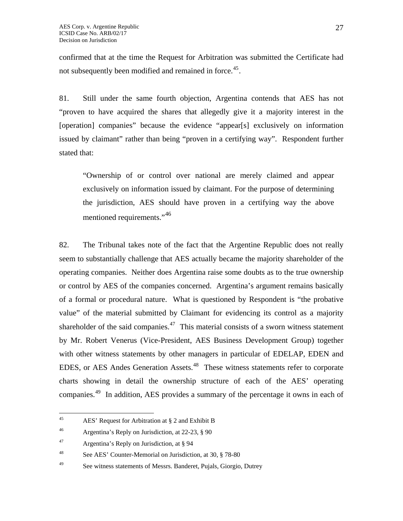confirmed that at the time the Request for Arbitration was submitted the Certificate had not subsequently been modified and remained in force.<sup>[45](#page-26-0)</sup>.

81. Still under the same fourth objection, Argentina contends that AES has not "proven to have acquired the shares that allegedly give it a majority interest in the [operation] companies" because the evidence "appear[s] exclusively on information issued by claimant" rather than being "proven in a certifying way". Respondent further stated that:

"Ownership of or control over national are merely claimed and appear exclusively on information issued by claimant. For the purpose of determining the jurisdiction, AES should have proven in a certifying way the above mentioned requirements."<sup>[46](#page-26-1)</sup>

82. The Tribunal takes note of the fact that the Argentine Republic does not really seem to substantially challenge that AES actually became the majority shareholder of the operating companies. Neither does Argentina raise some doubts as to the true ownership or control by AES of the companies concerned. Argentina's argument remains basically of a formal or procedural nature. What is questioned by Respondent is "the probative value" of the material submitted by Claimant for evidencing its control as a majority shareholder of the said companies. $47$  This material consists of a sworn witness statement by Mr. Robert Venerus (Vice-President, AES Business Development Group) together with other witness statements by other managers in particular of EDELAP, EDEN and EDES, or AES Andes Generation Assets.<sup>[48](#page-26-3)</sup> These witness statements refer to corporate charts showing in detail the ownership structure of each of the AES' operating companies.<sup>[49](#page-26-4)</sup> In addition, AES provides a summary of the percentage it owns in each of

<span id="page-26-0"></span><sup>45</sup> 45 AES' Request for Arbitration at § 2 and Exhibit B

<span id="page-26-1"></span><sup>46</sup> Argentina's Reply on Jurisdiction, at 22-23, § 90

<span id="page-26-2"></span><sup>&</sup>lt;sup>47</sup> Argentina's Reply on Jurisdiction, at  $\S$  94

<span id="page-26-3"></span><sup>&</sup>lt;sup>48</sup> See AES' Counter-Memorial on Jurisdiction, at 30, § 78-80

<span id="page-26-4"></span><sup>49</sup> See witness statements of Messrs. Banderet, Pujals, Giorgio, Dutrey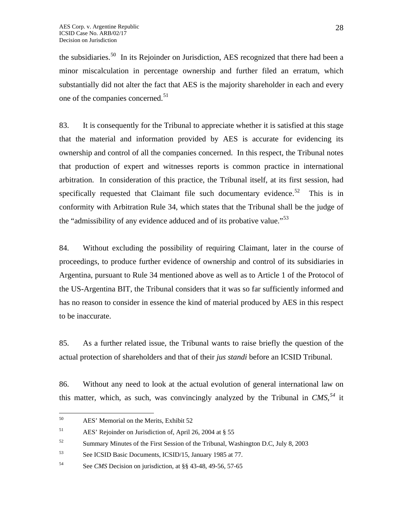the subsidiaries.<sup>[50](#page-27-0)</sup> In its Rejoinder on Jurisdiction, AES recognized that there had been a minor miscalculation in percentage ownership and further filed an erratum, which substantially did not alter the fact that AES is the majority shareholder in each and every one of the companies concerned.<sup>[51](#page-27-1)</sup>

83. It is consequently for the Tribunal to appreciate whether it is satisfied at this stage that the material and information provided by AES is accurate for evidencing its ownership and control of all the companies concerned. In this respect, the Tribunal notes that production of expert and witnesses reports is common practice in international arbitration. In consideration of this practice, the Tribunal itself, at its first session, had specifically requested that Claimant file such documentary evidence.<sup>[52](#page-27-2)</sup> This is in conformity with Arbitration Rule 34, which states that the Tribunal shall be the judge of the "admissibility of any evidence adduced and of its probative value."<sup>[53](#page-27-3)</sup>

84. Without excluding the possibility of requiring Claimant, later in the course of proceedings, to produce further evidence of ownership and control of its subsidiaries in Argentina, pursuant to Rule 34 mentioned above as well as to Article 1 of the Protocol of the US-Argentina BIT, the Tribunal considers that it was so far sufficiently informed and has no reason to consider in essence the kind of material produced by AES in this respect to be inaccurate.

85. As a further related issue, the Tribunal wants to raise briefly the question of the actual protection of shareholders and that of their *jus standi* before an ICSID Tribunal.

86. Without any need to look at the actual evolution of general international law on this matter, which, as such, was convincingly analyzed by the Tribunal in *CMS,[54](#page-27-4)* it

<span id="page-27-0"></span><sup>50</sup> AES' Memorial on the Merits, Exhibit 52

<span id="page-27-1"></span><sup>51</sup> AES' Rejoinder on Jurisdiction of, April 26, 2004 at § 55

<span id="page-27-2"></span> $52$  Summary Minutes of the First Session of the Tribunal, Washington D.C, July 8, 2003

<span id="page-27-3"></span><sup>53</sup> See ICSID Basic Documents, ICSID/15, January 1985 at 77.

<span id="page-27-4"></span><sup>54</sup> See *CMS* Decision on jurisdiction, at §§ 43-48, 49-56, 57-65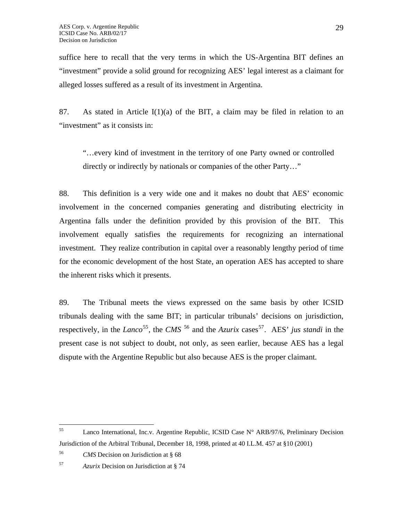suffice here to recall that the very terms in which the US-Argentina BIT defines an "investment" provide a solid ground for recognizing AES' legal interest as a claimant for alleged losses suffered as a result of its investment in Argentina.

87. As stated in Article  $I(1)(a)$  of the BIT, a claim may be filed in relation to an "investment" as it consists in:

"…every kind of investment in the territory of one Party owned or controlled directly or indirectly by nationals or companies of the other Party…"

88. This definition is a very wide one and it makes no doubt that AES' economic involvement in the concerned companies generating and distributing electricity in Argentina falls under the definition provided by this provision of the BIT. This involvement equally satisfies the requirements for recognizing an international investment. They realize contribution in capital over a reasonably lengthy period of time for the economic development of the host State, an operation AES has accepted to share the inherent risks which it presents.

89. The Tribunal meets the views expressed on the same basis by other ICSID tribunals dealing with the same BIT; in particular tribunals' decisions on jurisdiction, respectively, in the *Lanco*<sup>[55](#page-28-0)</sup>, the *CMS*<sup>[56](#page-28-1)</sup> and the *Azurix* cases<sup>[57](#page-28-2)</sup>. AES' *jus standi* in the present case is not subject to doubt, not only, as seen earlier, because AES has a legal dispute with the Argentine Republic but also because AES is the proper claimant.

<span id="page-28-0"></span><sup>55</sup> Lanco International, Inc.v. Argentine Republic, ICSID Case N° ARB/97/6, Preliminary Decision Jurisdiction of the Arbitral Tribunal, December 18, 1998, printed at 40 I.L.M. 457 at §10 (2001)

<span id="page-28-1"></span><sup>56</sup> *CMS* Decision on Jurisdiction at § 68

<span id="page-28-2"></span><sup>57</sup> *Azurix* Decision on Jurisdiction at § 74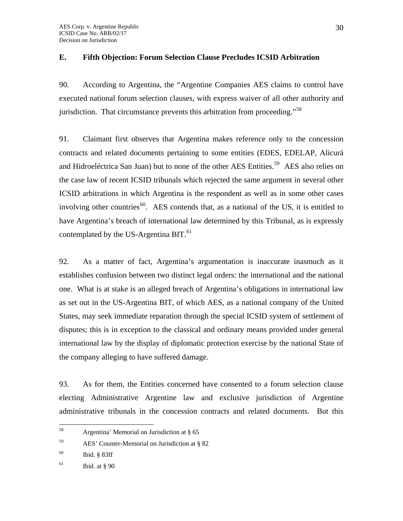## **E. Fifth Objection: Forum Selection Clause Precludes ICSID Arbitration**

90. According to Argentina, the "Argentine Companies AES claims to control have executed national forum selection clauses, with express waiver of all other authority and jurisdiction. That circumstance prevents this arbitration from proceeding."<sup>[58](#page-29-0)</sup>

91. Claimant first observes that Argentina makes reference only to the concession contracts and related documents pertaining to some entities (EDES, EDELAP, Alicurá and Hidroeléctrica San Juan) but to none of the other AES Entities.<sup>[59](#page-29-1)</sup> AES also relies on the case law of recent ICSID tribunals which rejected the same argument in several other ICSID arbitrations in which Argentina is the respondent as well as in some other cases involving other countries<sup>[60](#page-29-2)</sup>. AES contends that, as a national of the US, it is entitled to have Argentina's breach of international law determined by this Tribunal, as is expressly contemplated by the US-Argentina BIT.<sup>[61](#page-29-3)</sup>

92. As a matter of fact, Argentina's argumentation is inaccurate inasmuch as it establishes confusion between two distinct legal orders: the international and the national one. What is at stake is an alleged breach of Argentina's obligations in international law as set out in the US-Argentina BIT, of which AES, as a national company of the United States, may seek immediate reparation through the special ICSID system of settlement of disputes; this is in exception to the classical and ordinary means provided under general international law by the display of diplomatic protection exercise by the national State of the company alleging to have suffered damage.

93. As for them, the Entities concerned have consented to a forum selection clause electing Administrative Argentine law and exclusive jurisdiction of Argentine administrative tribunals in the concession contracts and related documents. But this

<span id="page-29-0"></span><sup>58</sup> Argentina' Memorial on Jurisdiction at § 65

<span id="page-29-1"></span><sup>59</sup> AES' Counter-Memorial on Jurisdiction at § 82

<span id="page-29-2"></span><sup>60</sup> Ibid. § 83ff

<span id="page-29-3"></span> $61$  Ibid. at § 90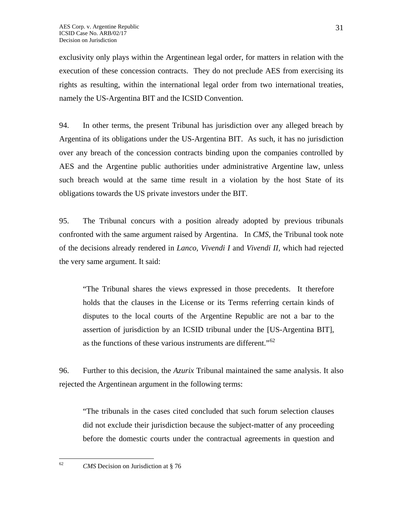exclusivity only plays within the Argentinean legal order, for matters in relation with the execution of these concession contracts. They do not preclude AES from exercising its rights as resulting, within the international legal order from two international treaties, namely the US-Argentina BIT and the ICSID Convention.

94. In other terms, the present Tribunal has jurisdiction over any alleged breach by Argentina of its obligations under the US-Argentina BIT. As such, it has no jurisdiction over any breach of the concession contracts binding upon the companies controlled by AES and the Argentine public authorities under administrative Argentine law, unless such breach would at the same time result in a violation by the host State of its obligations towards the US private investors under the BIT.

95. The Tribunal concurs with a position already adopted by previous tribunals confronted with the same argument raised by Argentina. In *CMS*, the Tribunal took note of the decisions already rendered in *Lanco, Vivendi I* and *Vivendi II,* which had rejected the very same argument. It said:

"The Tribunal shares the views expressed in those precedents. It therefore holds that the clauses in the License or its Terms referring certain kinds of disputes to the local courts of the Argentine Republic are not a bar to the assertion of jurisdiction by an ICSID tribunal under the [US-Argentina BIT], as the functions of these various instruments are different."<sup>[62](#page-30-0)</sup>

96. Further to this decision, the *Azurix* Tribunal maintained the same analysis. It also rejected the Argentinean argument in the following terms:

"The tribunals in the cases cited concluded that such forum selection clauses did not exclude their jurisdiction because the subject-matter of any proceeding before the domestic courts under the contractual agreements in question and

<span id="page-30-0"></span> $62$ 

<sup>62</sup> *CMS* Decision on Jurisdiction at § 76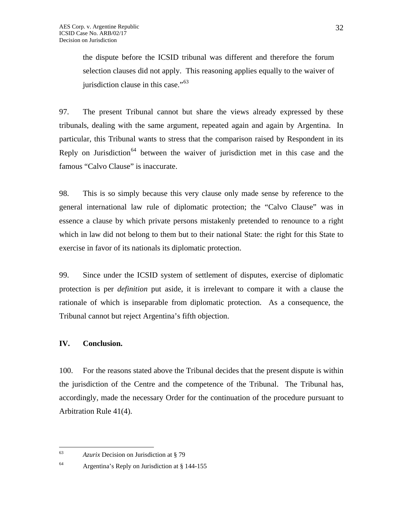the dispute before the ICSID tribunal was different and therefore the forum selection clauses did not apply. This reasoning applies equally to the waiver of jurisdiction clause in this case."<sup>[63](#page-31-0)</sup>

97. The present Tribunal cannot but share the views already expressed by these tribunals, dealing with the same argument, repeated again and again by Argentina. In particular, this Tribunal wants to stress that the comparison raised by Respondent in its Reply on Jurisdiction<sup>[64](#page-31-1)</sup> between the waiver of jurisdiction met in this case and the famous "Calvo Clause" is inaccurate.

98. This is so simply because this very clause only made sense by reference to the general international law rule of diplomatic protection; the "Calvo Clause" was in essence a clause by which private persons mistakenly pretended to renounce to a right which in law did not belong to them but to their national State: the right for this State to exercise in favor of its nationals its diplomatic protection.

99. Since under the ICSID system of settlement of disputes, exercise of diplomatic protection is per *definition* put aside, it is irrelevant to compare it with a clause the rationale of which is inseparable from diplomatic protection. As a consequence, the Tribunal cannot but reject Argentina's fifth objection.

# **IV. Conclusion.**

100. For the reasons stated above the Tribunal decides that the present dispute is within the jurisdiction of the Centre and the competence of the Tribunal. The Tribunal has, accordingly, made the necessary Order for the continuation of the procedure pursuant to Arbitration Rule 41(4).

<span id="page-31-0"></span><sup>63</sup> <sup>63</sup> *Azurix* Decision on Jurisdiction at § 79

<span id="page-31-1"></span><sup>64</sup> Argentina's Reply on Jurisdiction at § 144-155